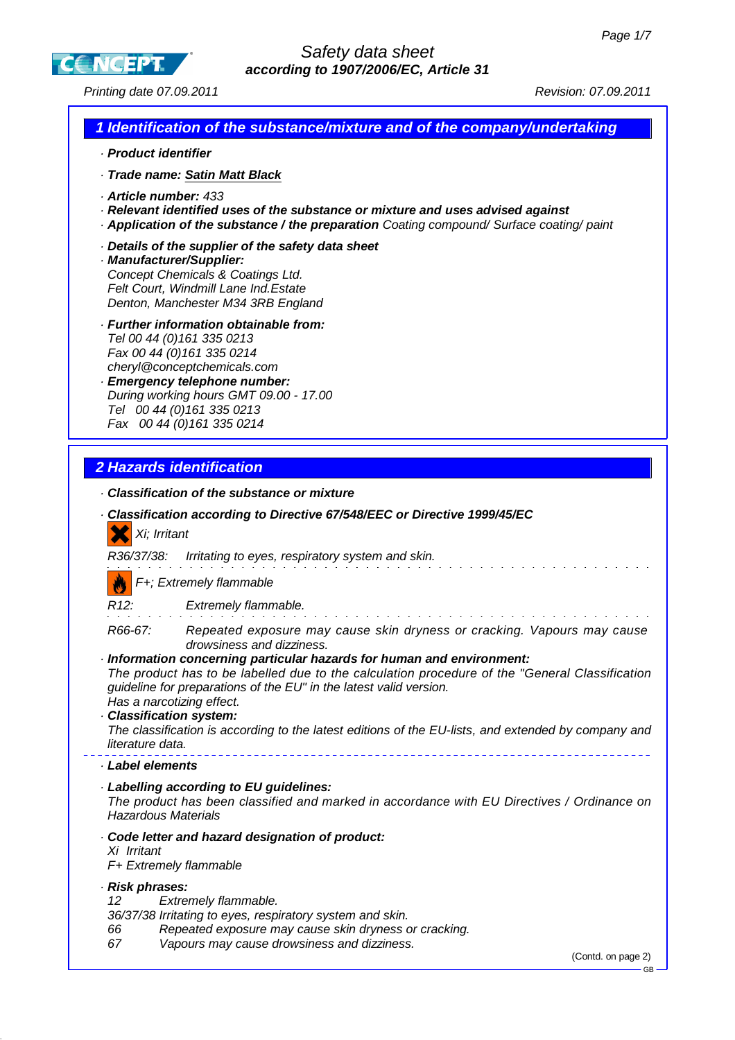GB

**CC NGEPT** 

Printing date 07.09.2011 Revision: 07.09.2011

# **1 Identification of the substance/mixture and of the company/undertaking**

- · **Product identifier**
- · **Trade name: Satin Matt Black**
- · **Article number:** 433
- · **Relevant identified uses of the substance or mixture and uses advised against**
- · **Application of the substance / the preparation** Coating compound/ Surface coating/ paint
- · **Details of the supplier of the safety data sheet**
- · **Manufacturer/Supplier:** Concept Chemicals & Coatings Ltd. Felt Court, Windmill Lane Ind.Estate Denton, Manchester M34 3RB England
- · **Further information obtainable from:** Tel 00 44 (0)161 335 0213 Fax 00 44 (0)161 335 0214 cheryl@conceptchemicals.com
- · **Emergency telephone number:** During working hours GMT 09.00 - 17.00 Tel 00 44 (0)161 335 0213 Fax 00 44 (0)161 335 0214

# **2 Hazards identification**

- · **Classification of the substance or mixture**
- · **Classification according to Directive 67/548/EEC or Directive 1999/45/EC** Xi; Irritant R36/37/38: Irritating to eyes, respiratory system and skin. F+; Extremely flammable R12: Extremely flammable. R66-67: Repeated exposure may cause skin dryness or cracking. Vapours may cause drowsiness and dizziness. · **Information concerning particular hazards for human and environment:** The product has to be labelled due to the calculation procedure of the "General Classification guideline for preparations of the EU" in the latest valid version. Has a narcotizing effect. · **Classification system:** The classification is according to the latest editions of the EU-lists, and extended by company and literature data. · **Label elements** · **Labelling according to EU guidelines:** The product has been classified and marked in accordance with EU Directives / Ordinance on Hazardous Materials · **Code letter and hazard designation of product:** Xi Irritant F+ Extremely flammable · **Risk phrases:** 12 Extremely flammable. 36/37/38 Irritating to eyes, respiratory system and skin. 66 Repeated exposure may cause skin dryness or cracking. 67 Vapours may cause drowsiness and dizziness. (Contd. on page 2)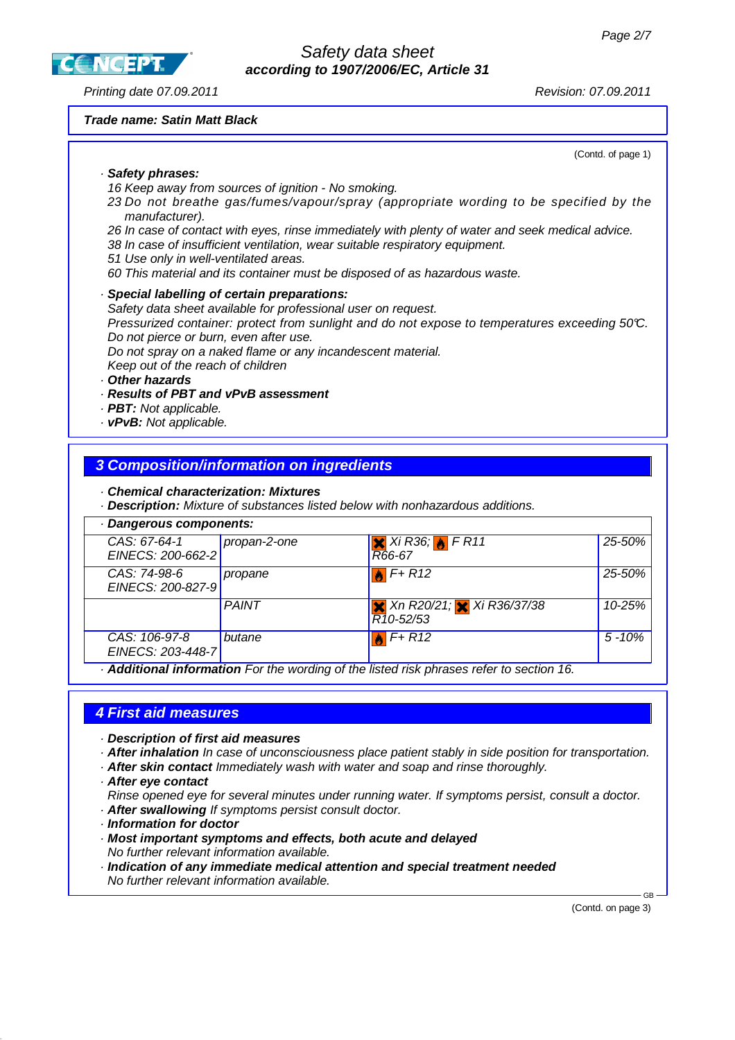**CC NGEPT** 

Safety data sheet **according to 1907/2006/EC, Article 31**

Printing date 07.09.2011 Revision: 07.09.2011

#### **Trade name: Satin Matt Black**

(Contd. of page 1)

#### · **Safety phrases:**

16 Keep away from sources of ignition - No smoking.

- 23 Do not breathe gas/fumes/vapour/spray (appropriate wording to be specified by the manufacturer).
- 26 In case of contact with eyes, rinse immediately with plenty of water and seek medical advice.
- 38 In case of insufficient ventilation, wear suitable respiratory equipment.
- 51 Use only in well-ventilated areas.
- 60 This material and its container must be disposed of as hazardous waste.

#### · **Special labelling of certain preparations:**

Safety data sheet available for professional user on request. Pressurized container: protect from sunlight and do not expose to temperatures exceeding 50°C. Do not pierce or burn, even after use. Do not spray on a naked flame or any incandescent material.

Keep out of the reach of children

#### · **Other hazards**

- · **Results of PBT and vPvB assessment**
- · **PBT:** Not applicable.
- · **vPvB:** Not applicable.

### **3 Composition/information on ingredients**

· **Chemical characterization: Mixtures**

· **Description:** Mixture of substances listed below with nonhazardous additions.

| · Dangerous components:            |              |                                                            |           |
|------------------------------------|--------------|------------------------------------------------------------|-----------|
| CAS: 67-64-1<br>EINECS: 200-662-2  | propan-2-one | $X$ Xi R36; $\bigcup$ F R11<br>R66-67                      | 25-50%    |
| CAS: 74-98-6<br>EINECS: 200-827-9  | propane      | $F+R12$                                                    | 25-50%    |
|                                    | <b>PAINT</b> | <b>X</b> Xn R20/21; <b>X</b> Xi R36/37/38<br>$R10 - 52/53$ | 10-25%    |
| CAS: 106-97-8<br>EINECS: 203-448-7 | butane       | $F + R12$                                                  | $5 - 10%$ |

· **Additional information** For the wording of the listed risk phrases refer to section 16.

### **4 First aid measures**

- · **Description of first aid measures**
- · **After inhalation** In case of unconsciousness place patient stably in side position for transportation.
- · **After skin contact** Immediately wash with water and soap and rinse thoroughly.
- · **After eye contact**
- Rinse opened eye for several minutes under running water. If symptoms persist, consult a doctor.
- · **After swallowing** If symptoms persist consult doctor.
- · **Information for doctor**
- · **Most important symptoms and effects, both acute and delayed** No further relevant information available.
- · **Indication of any immediate medical attention and special treatment needed** No further relevant information available.

(Contd. on page 3)

GB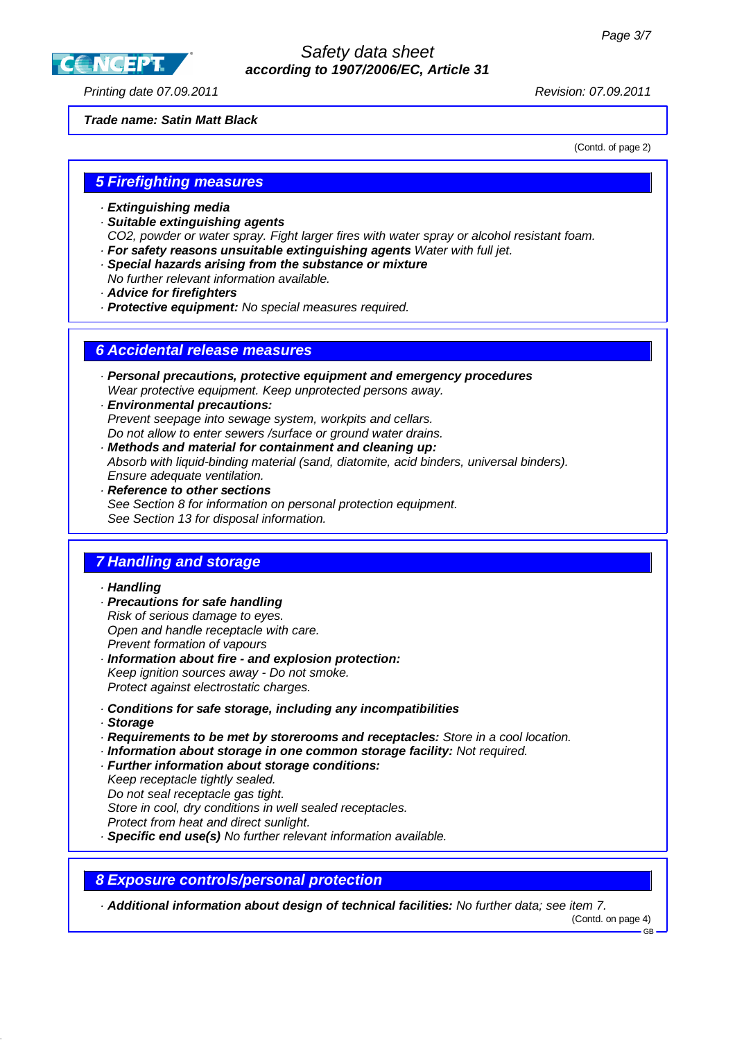**CC NGEPT** 

### Safety data sheet **according to 1907/2006/EC, Article 31**

Printing date 07.09.2011 Revision: 07.09.2011

**Trade name: Satin Matt Black**

(Contd. of page 2)

## **5 Firefighting measures**

- · **Extinguishing media**
- · **Suitable extinguishing agents**
- CO2, powder or water spray. Fight larger fires with water spray or alcohol resistant foam. · **For safety reasons unsuitable extinguishing agents** Water with full jet.
- · **Special hazards arising from the substance or mixture**
- No further relevant information available.
- · **Advice for firefighters**
- · **Protective equipment:** No special measures required.

### **6 Accidental release measures**

- · **Personal precautions, protective equipment and emergency procedures** Wear protective equipment. Keep unprotected persons away.
- · **Environmental precautions:** Prevent seepage into sewage system, workpits and cellars. Do not allow to enter sewers /surface or ground water drains.
- · **Methods and material for containment and cleaning up:** Absorb with liquid-binding material (sand, diatomite, acid binders, universal binders). Ensure adequate ventilation.
- · **Reference to other sections** See Section 8 for information on personal protection equipment. See Section 13 for disposal information.

# **7 Handling and storage**

#### · **Handling**

- · **Precautions for safe handling** Risk of serious damage to eyes. Open and handle receptacle with care. Prevent formation of vapours
- · **Information about fire and explosion protection:** Keep ignition sources away - Do not smoke. Protect against electrostatic charges.
- · **Conditions for safe storage, including any incompatibilities**
- · **Storage**
- · **Requirements to be met by storerooms and receptacles:** Store in a cool location.
- · **Information about storage in one common storage facility:** Not required.
- · **Further information about storage conditions:**
- Keep receptacle tightly sealed.
- Do not seal receptacle gas tight.
- Store in cool, dry conditions in well sealed receptacles.
- Protect from heat and direct sunlight.
- · **Specific end use(s)** No further relevant information available.

### **8 Exposure controls/personal protection**

· **Additional information about design of technical facilities:** No further data; see item 7.

(Contd. on page 4)

GB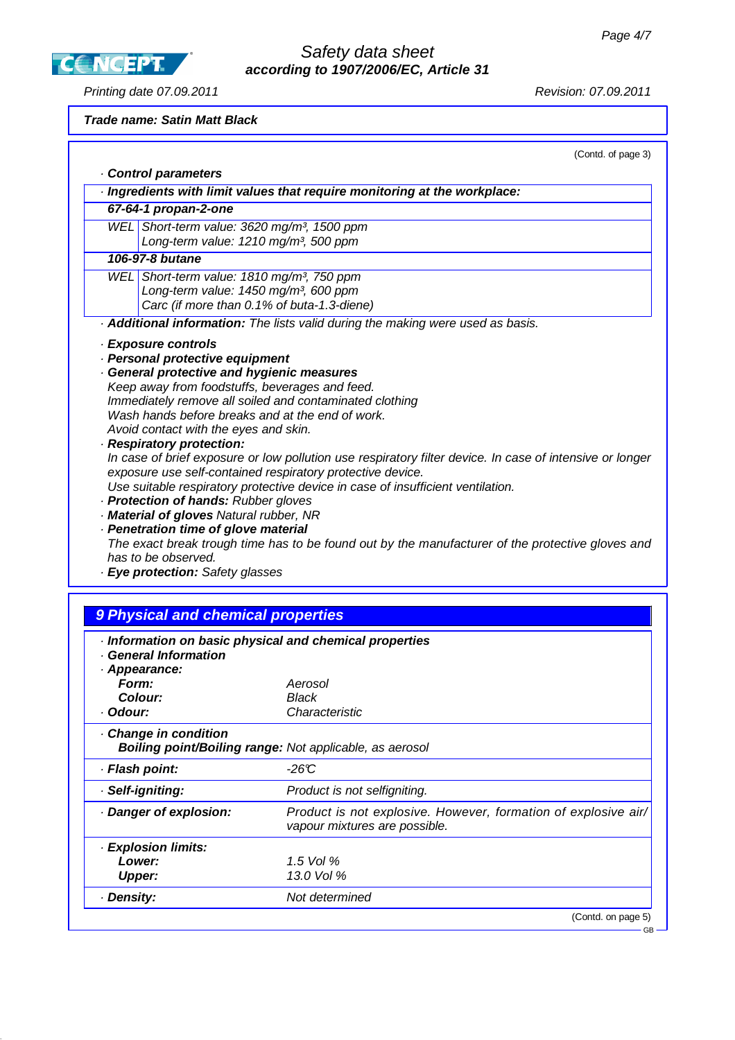**CCNCEPT** 

# Safety data sheet **according to 1907/2006/EC, Article 31**

Printing date 07.09.2011 **Printing date 07.09.2011** 

### **Trade name: Satin Matt Black**

| (Contd. of page 3) |  |  |
|--------------------|--|--|
|                    |  |  |

| Control parameters<br>Ingredients with limit values that require monitoring at the workplace:                                                 |
|-----------------------------------------------------------------------------------------------------------------------------------------------|
| 67-64-1 propan-2-one                                                                                                                          |
| WEL Short-term value: 3620 mg/m <sup>3</sup> , 1500 ppm                                                                                       |
| Long-term value: 1210 mg/m <sup>3</sup> , 500 ppm                                                                                             |
| 106-97-8 butane                                                                                                                               |
| WEL Short-term value: 1810 mg/m <sup>3</sup> , 750 ppm                                                                                        |
| Long-term value: 1450 mg/m <sup>3</sup> , 600 ppm                                                                                             |
| Carc (if more than 0.1% of buta-1.3-diene)                                                                                                    |
| Additional information: The lists valid during the making were used as basis.                                                                 |
| · Exposure controls                                                                                                                           |
| · Personal protective equipment                                                                                                               |
| <b>General protective and hygienic measures</b>                                                                                               |
| Keep away from foodstuffs, beverages and feed.                                                                                                |
| Immediately remove all soiled and contaminated clothing                                                                                       |
| Wash hands before breaks and at the end of work.                                                                                              |
| Avoid contact with the eyes and skin.                                                                                                         |
| · Respiratory protection:                                                                                                                     |
| In case of brief exposure or low pollution use respiratory filter device. In case of intensive or longer                                      |
| exposure use self-contained respiratory protective device.<br>Use suitable respiratory protective device in case of insufficient ventilation. |
| · Protection of hands: Rubber gloves                                                                                                          |
| · Material of gloves Natural rubber, NR                                                                                                       |
| · Penetration time of glove material                                                                                                          |
| The exact break trough time has to be found out by the manufacturer of the protective gloves and                                              |
| has to be observed.                                                                                                                           |
| · Eye protection: Safety glasses                                                                                                              |
|                                                                                                                                               |
|                                                                                                                                               |
| 9 Physical and chemical properties                                                                                                            |
| Information on basic physical and chemical properties                                                                                         |
| · General Information                                                                                                                         |
| · Appearance:                                                                                                                                 |
| <b>Form:</b><br>Aerosol                                                                                                                       |
| C <sub>1</sub><br><b>D</b> look                                                                                                               |

| Form:                | Aerosol                                                                                         |
|----------------------|-------------------------------------------------------------------------------------------------|
| Colour:              | Black                                                                                           |
| · Odour:             | Characteristic                                                                                  |
| Change in condition  | <b>Boiling point/Boiling range:</b> Not applicable, as aerosol                                  |
| · Flash point:       | $-26C$                                                                                          |
| · Self-igniting:     | Product is not selfigniting.                                                                    |
| Danger of explosion: | Product is not explosive. However, formation of explosive air/<br>vapour mixtures are possible. |
| · Explosion limits:  |                                                                                                 |
| Lower:               | 1.5 Vol $%$                                                                                     |
| <b>Upper:</b>        | 13.0 Vol %                                                                                      |
| · Density:           | Not determined                                                                                  |
|                      | (Contd. on page 5)                                                                              |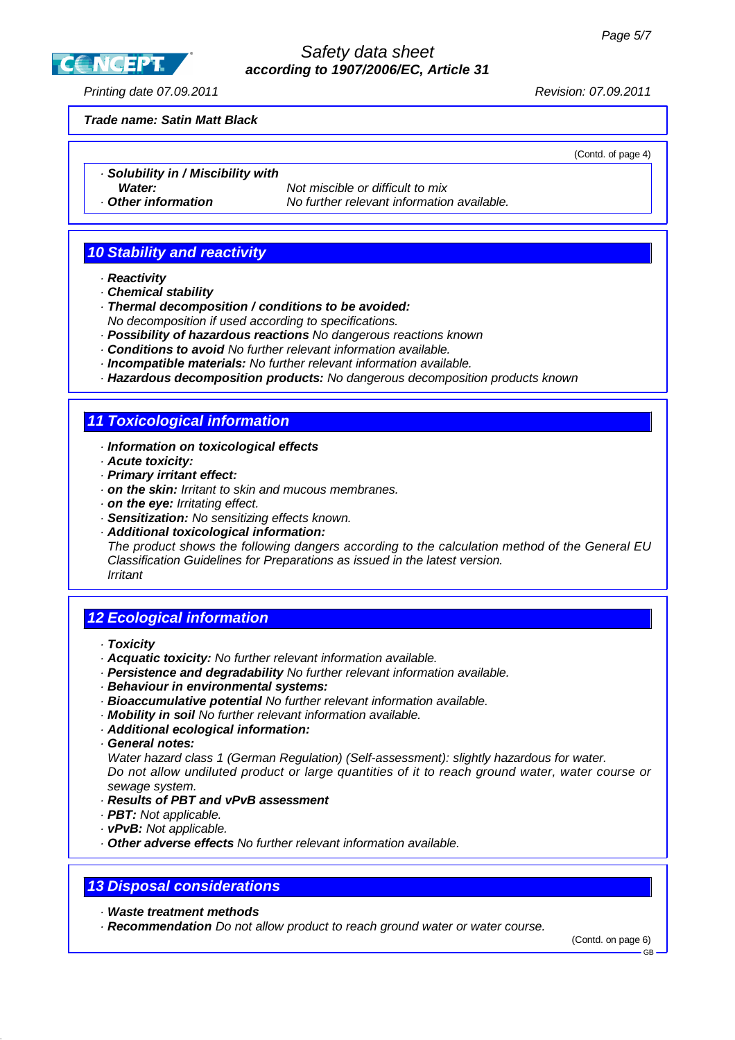Safety data sheet **according to 1907/2006/EC, Article 31**

Printing date 07.09.2011 Revision: 07.09.2011

**CCNCEPT** 

#### **Trade name: Satin Matt Black**

(Contd. of page 4)

- · **Solubility in / Miscibility with**
- 

**Water:** Not miscible or difficult to mix · **Other information** No further relevant information available.

# **10 Stability and reactivity**

- · **Reactivity**
- · **Chemical stability**
- · **Thermal decomposition / conditions to be avoided:** No decomposition if used according to specifications.
- · **Possibility of hazardous reactions** No dangerous reactions known
- · **Conditions to avoid** No further relevant information available.
- · **Incompatible materials:** No further relevant information available.
- · **Hazardous decomposition products:** No dangerous decomposition products known

## **11 Toxicological information**

#### · **Information on toxicological effects**

- · **Acute toxicity:**
- · **Primary irritant effect:**
- · **on the skin:** Irritant to skin and mucous membranes.
- · **on the eye:** Irritating effect.
- · **Sensitization:** No sensitizing effects known.
- · **Additional toxicological information:**

The product shows the following dangers according to the calculation method of the General EU Classification Guidelines for Preparations as issued in the latest version. Irritant

## **12 Ecological information**

- · **Toxicity**
- · **Acquatic toxicity:** No further relevant information available.
- · **Persistence and degradability** No further relevant information available.
- · **Behaviour in environmental systems:**
- · **Bioaccumulative potential** No further relevant information available.
- · **Mobility in soil** No further relevant information available.
- · **Additional ecological information:**
- · **General notes:**

Water hazard class 1 (German Regulation) (Self-assessment): slightly hazardous for water. Do not allow undiluted product or large quantities of it to reach ground water, water course or sewage system.

#### · **Results of PBT and vPvB assessment**

- · **PBT:** Not applicable.
- · **vPvB:** Not applicable.
- · **Other adverse effects** No further relevant information available.

### **13 Disposal considerations**

· **Waste treatment methods**

· **Recommendation** Do not allow product to reach ground water or water course.

(Contd. on page 6)

GB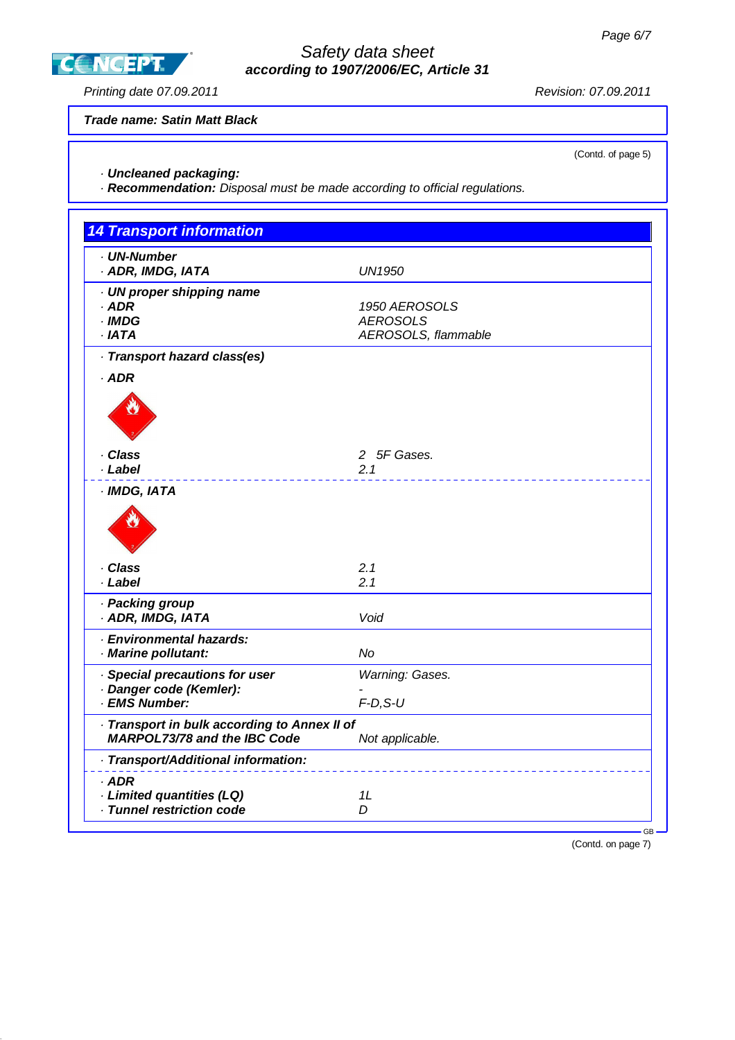**CCNGEPT** 

### Safety data sheet **according to 1907/2006/EC, Article 31**

Printing date 07.09.2011 **Principal Contract Contract Contract Contract Contract Contract Contract Contract Contract Contract Contract Contract Contract Contract Contract Contract Contract Contract Contract Contract Contra** 

**Trade name: Satin Matt Black**

(Contd. of page 5)

### · **Uncleaned packaging:**

· **Recommendation:** Disposal must be made according to official regulations.

| <b>14 Transport information</b>                                                     |                                                         |
|-------------------------------------------------------------------------------------|---------------------------------------------------------|
| · UN-Number<br>· ADR, IMDG, IATA                                                    | <b>UN1950</b>                                           |
| · UN proper shipping name<br>$·$ ADR<br>$\cdot$ IMDG<br>$·$ IATA                    | 1950 AEROSOLS<br><b>AEROSOLS</b><br>AEROSOLS, flammable |
| · Transport hazard class(es)                                                        |                                                         |
| $·$ ADR                                                                             |                                                         |
| · Class<br>· Label                                                                  | 2 5F Gases.<br>2.1                                      |
| · IMDG, IATA                                                                        |                                                         |
| · Class<br>· Label                                                                  | 2.1<br>2.1                                              |
| · Packing group<br>· ADR, IMDG, IATA                                                | Void                                                    |
| · Environmental hazards:<br>· Marine pollutant:                                     | <b>No</b>                                               |
| Special precautions for user<br>· Danger code (Kemler):<br>· EMS Number:            | Warning: Gases.<br>$F-D, S-U$                           |
| · Transport in bulk according to Annex II of<br><b>MARPOL73/78 and the IBC Code</b> | Not applicable.                                         |
| · Transport/Additional information:                                                 |                                                         |
| · ADR<br>· Limited quantities (LQ)<br>· Tunnel restriction code                     | 1L<br>D                                                 |

(Contd. on page 7)